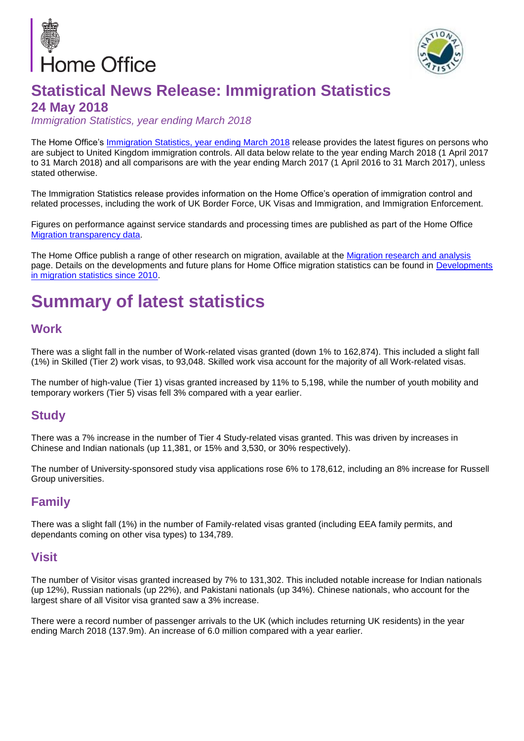



## **Statistical News Release: Immigration Statistics 24 May 2018**

*Immigration Statistics, year ending March 2018*

The Home Office's Immigration Statistics, [year ending March 2018](https://www.gov.uk/government/statistics/immigration-statistics-year-ending-march-2018) release provides the latest figures on persons who are subject to United Kingdom immigration controls. All data below relate to the year ending March 2018 (1 April 2017 to 31 March 2018) and all comparisons are with the year ending March 2017 (1 April 2016 to 31 March 2017), unless stated otherwise.

The Immigration Statistics release provides information on the Home Office's operation of immigration control and related processes, including the work of UK Border Force, UK Visas and Immigration, and Immigration Enforcement.

Figures on performance against service standards and processing times are published as part of the Home Office [Migration transparency data.](https://www.gov.uk/government/collections/migration-transparency-data)

The Home Office publish a range of other research on migration, available at the [Migration research and analysis](https://www.gov.uk/government/collections/migration-research-and-analysis.) page. Details on the developments and future plans for Home Office migration statistics can be found in [Developments](https://www.gov.uk/government/publications/developments-in-migration-statistics-since-2010)  [in migration statistics since 2010.](https://www.gov.uk/government/publications/developments-in-migration-statistics-since-2010.pdf)

# **Summary of latest statistics**

#### **Work**

There was a slight fall in the number of Work-related visas granted (down 1% to 162,874). This included a slight fall (1%) in Skilled (Tier 2) work visas, to 93,048. Skilled work visa account for the majority of all Work-related visas.

The number of high-value (Tier 1) visas granted increased by 11% to 5,198, while the number of youth mobility and temporary workers (Tier 5) visas fell 3% compared with a year earlier.

#### **Study**

There was a 7% increase in the number of Tier 4 Study-related visas granted. This was driven by increases in Chinese and Indian nationals (up 11,381, or 15% and 3,530, or 30% respectively).

The number of University-sponsored study visa applications rose 6% to 178,612, including an 8% increase for Russell Group universities.

#### **Family**

There was a slight fall (1%) in the number of Family-related visas granted (including EEA family permits, and dependants coming on other visa types) to 134,789.

#### **Visit**

The number of Visitor visas granted increased by 7% to 131,302. This included notable increase for Indian nationals (up 12%), Russian nationals (up 22%), and Pakistani nationals (up 34%). Chinese nationals, who account for the largest share of all Visitor visa granted saw a 3% increase.

There were a record number of passenger arrivals to the UK (which includes returning UK residents) in the year ending March 2018 (137.9m). An increase of 6.0 million compared with a year earlier.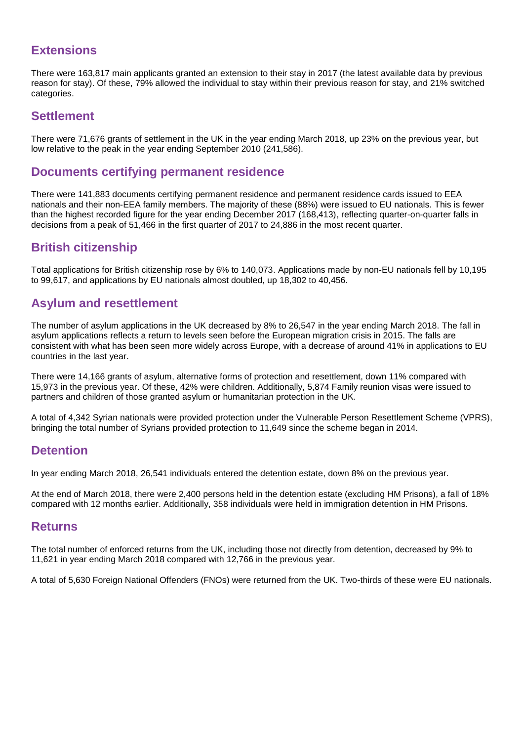### **Extensions**

There were 163,817 main applicants granted an extension to their stay in 2017 (the latest available data by previous reason for stay). Of these, 79% allowed the individual to stay within their previous reason for stay, and 21% switched categories.

#### **Settlement**

There were 71,676 grants of settlement in the UK in the year ending March 2018, up 23% on the previous year, but low relative to the peak in the year ending September 2010 (241,586).

#### **Documents certifying permanent residence**

There were 141,883 documents certifying permanent residence and permanent residence cards issued to EEA nationals and their non-EEA family members. The majority of these (88%) were issued to EU nationals. This is fewer than the highest recorded figure for the year ending December 2017 (168,413), reflecting quarter-on-quarter falls in decisions from a peak of 51,466 in the first quarter of 2017 to 24,886 in the most recent quarter.

#### **British citizenship**

Total applications for British citizenship rose by 6% to 140,073. Applications made by non-EU nationals fell by 10,195 to 99,617, and applications by EU nationals almost doubled, up 18,302 to 40,456.

### **Asylum and resettlement**

The number of asylum applications in the UK decreased by 8% to 26,547 in the year ending March 2018. The fall in asylum applications reflects a return to levels seen before the European migration crisis in 2015. The falls are consistent with what has been seen more widely across Europe, with a decrease of around 41% in applications to EU countries in the last year.

There were 14,166 grants of asylum, alternative forms of protection and resettlement, down 11% compared with 15,973 in the previous year. Of these, 42% were children. Additionally, 5,874 Family reunion visas were issued to partners and children of those granted asylum or humanitarian protection in the UK.

A total of 4,342 Syrian nationals were provided protection under the Vulnerable Person Resettlement Scheme (VPRS), bringing the total number of Syrians provided protection to 11,649 since the scheme began in 2014.

#### **Detention**

In year ending March 2018, 26,541 individuals entered the detention estate, down 8% on the previous year.

At the end of March 2018, there were 2,400 persons held in the detention estate (excluding HM Prisons), a fall of 18% compared with 12 months earlier. Additionally, 358 individuals were held in immigration detention in HM Prisons.

#### **Returns**

The total number of enforced returns from the UK, including those not directly from detention, decreased by 9% to 11,621 in year ending March 2018 compared with 12,766 in the previous year.

A total of 5,630 Foreign National Offenders (FNOs) were returned from the UK. Two-thirds of these were EU nationals.